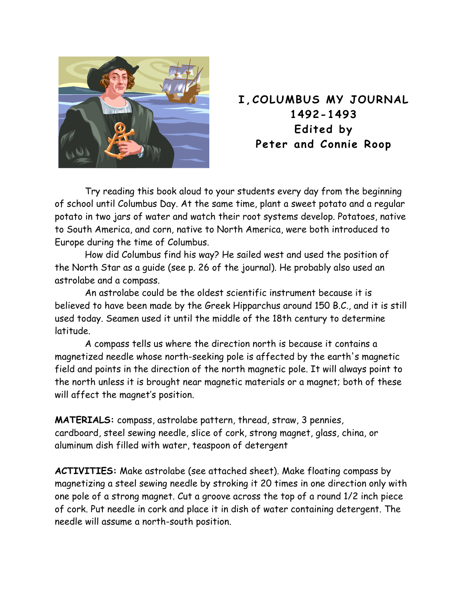

## **I,COLUMBUS MY JOURNAL 1492-1493 Edited by Peter and Connie Roop**

Try reading this book aloud to your students every day from the beginning of school until Columbus Day. At the same time, plant a sweet potato and a regular potato in two jars of water and watch their root systems develop. Potatoes, native to South America, and corn, native to North America, were both introduced to Europe during the time of Columbus.

How did Columbus find his way? He sailed west and used the position of the North Star as a guide (see p. 26 of the journal). He probably also used an astrolabe and a compass.

An astrolabe could be the oldest scientific instrument because it is believed to have been made by the Greek Hipparchus around 150 B.C., and it is still used today. Seamen used it until the middle of the 18th century to determine latitude.

A compass tells us where the direction north is because it contains a magnetized needle whose north-seeking pole is affected by the earth's magnetic field and points in the direction of the north magnetic pole. It will always point to the north unless it is brought near magnetic materials or a magnet; both of these will affect the magnet's position.

**MATERIALS:** compass, astrolabe pattern, thread, straw, 3 pennies, cardboard, steel sewing needle, slice of cork, strong magnet, glass, china, or aluminum dish filled with water, teaspoon of detergent

**ACTIVITIES:** Make astrolabe (see attached sheet). Make floating compass by magnetizing a steel sewing needle by stroking it 20 times in one direction only with one pole of a strong magnet. Cut a groove across the top of a round 1/2 inch piece of cork. Put needle in cork and place it in dish of water containing detergent. The needle will assume a north-south position.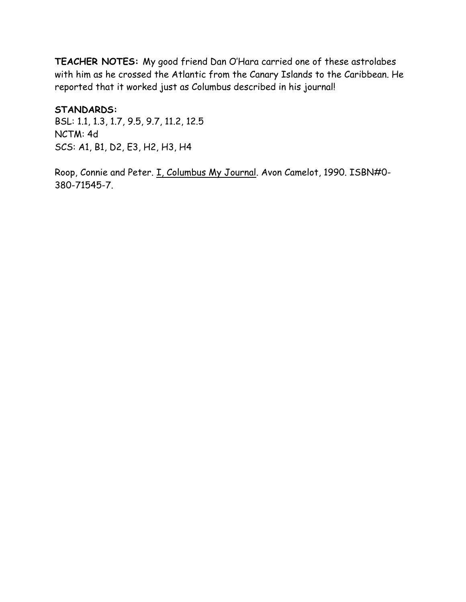**TEACHER NOTES:** My good friend Dan O'Hara carried one of these astrolabes with him as he crossed the Atlantic from the Canary Islands to the Caribbean. He reported that it worked just as Columbus described in his journal!

**STANDARDS:** 

BSL: 1.1, 1.3, 1.7, 9.5, 9.7, 11.2, 12.5 NCTM: 4d SCS: A1, B1, D2, E3, H2, H3, H4

Roop, Connie and Peter. I. Columbus My Journal. Avon Camelot, 1990. ISBN#0-380-71545-7.